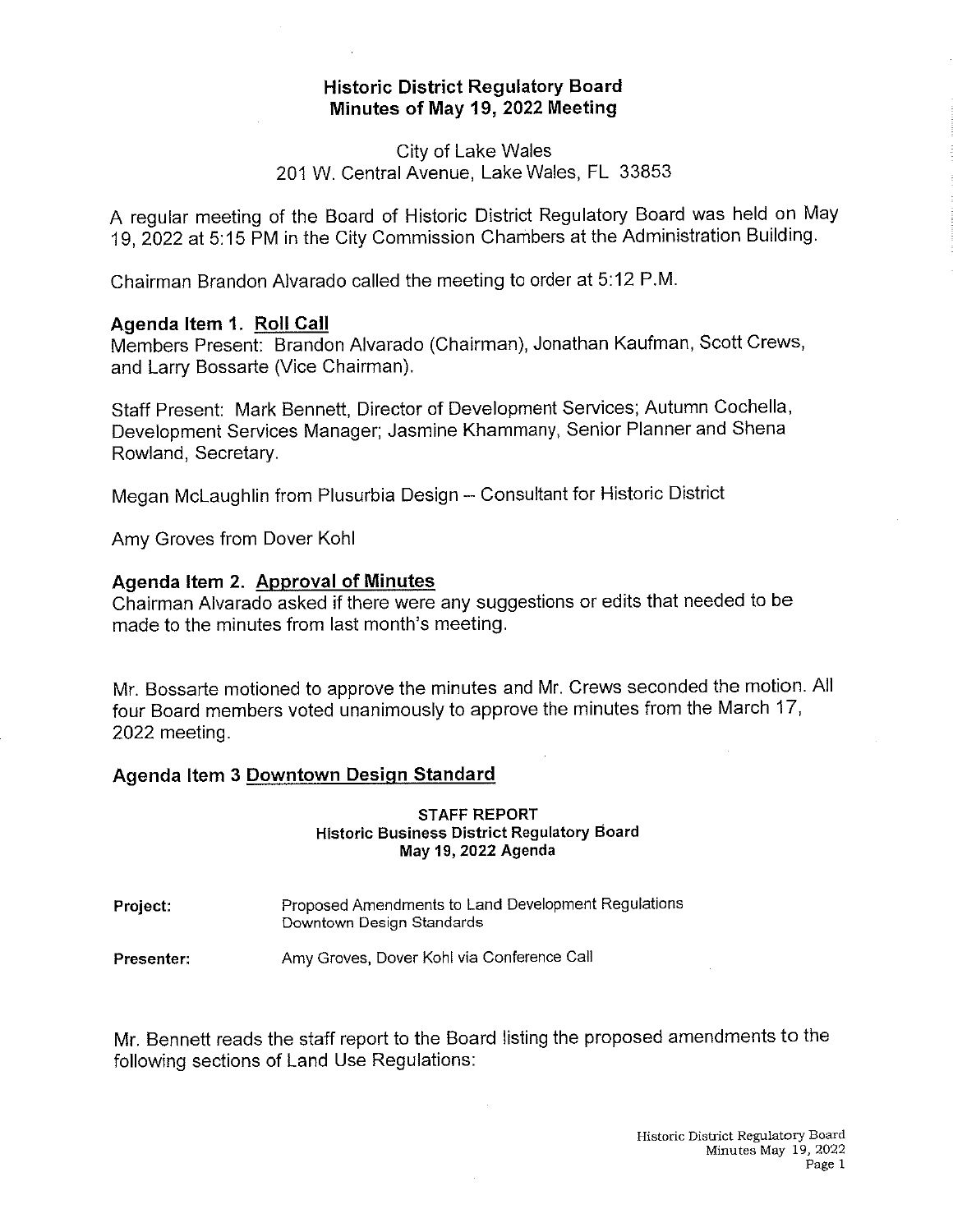# Historic District Regulatory Board Minutes of May 19, 2022 Meeting

# City of Lake Waies 201 W. Central Avenue, Lake Wales, FL 33853

A regular meeting of the Board of Historic District Regulatory Board was held on May 19, 2022 at 5:15 PM in the City Commission Chambers at the Administration Building.

Chairman Brandon Alvarado called the meeting to order at 5:12 P.M.

### Agenda Item 1. Roll Call

Members Present: Brandon Alvarado (Chairman), Jonathan Kaufman, Scott Crews, and Larry Bossarte (Vice Chairman).

Staff Present: Mark Bennett, Director of Development Services; Autumn Cochella, Development Services Manager; Jasmine Khammany, Senior Planner and Shena Rowland, Secretary.

Megan McLaughlin from Plusurbia Design - Consultant for Historic District

Amy Groves from Dover Kohl

### Agenda Item 2. Approval of Minutes

Chairman Alvarado asked if there were any suggestions or edits that needed to be made to the minutes from last month's meeting.

Mr. Bossarte motioned to approve the minutes and Mr. Crews seconded the motion. Ail four Board members voted unanimously to approve the minutes from the March 17, 2022 meeting.

### Agenda Item 3 Downtown Design Standard

#### STAFF REPORT Historic Business District Regulatory Board May 19, 2022 Agenda

Project: Proposed Amendments to Land Development Regulations Downtown Design Standards

Presenter: Amy Groves, Dover Kohl via Conference Call

Mr. Bennett reads the staff report to the Board listing the proposed amendments to the following sections of Land Use Regulations: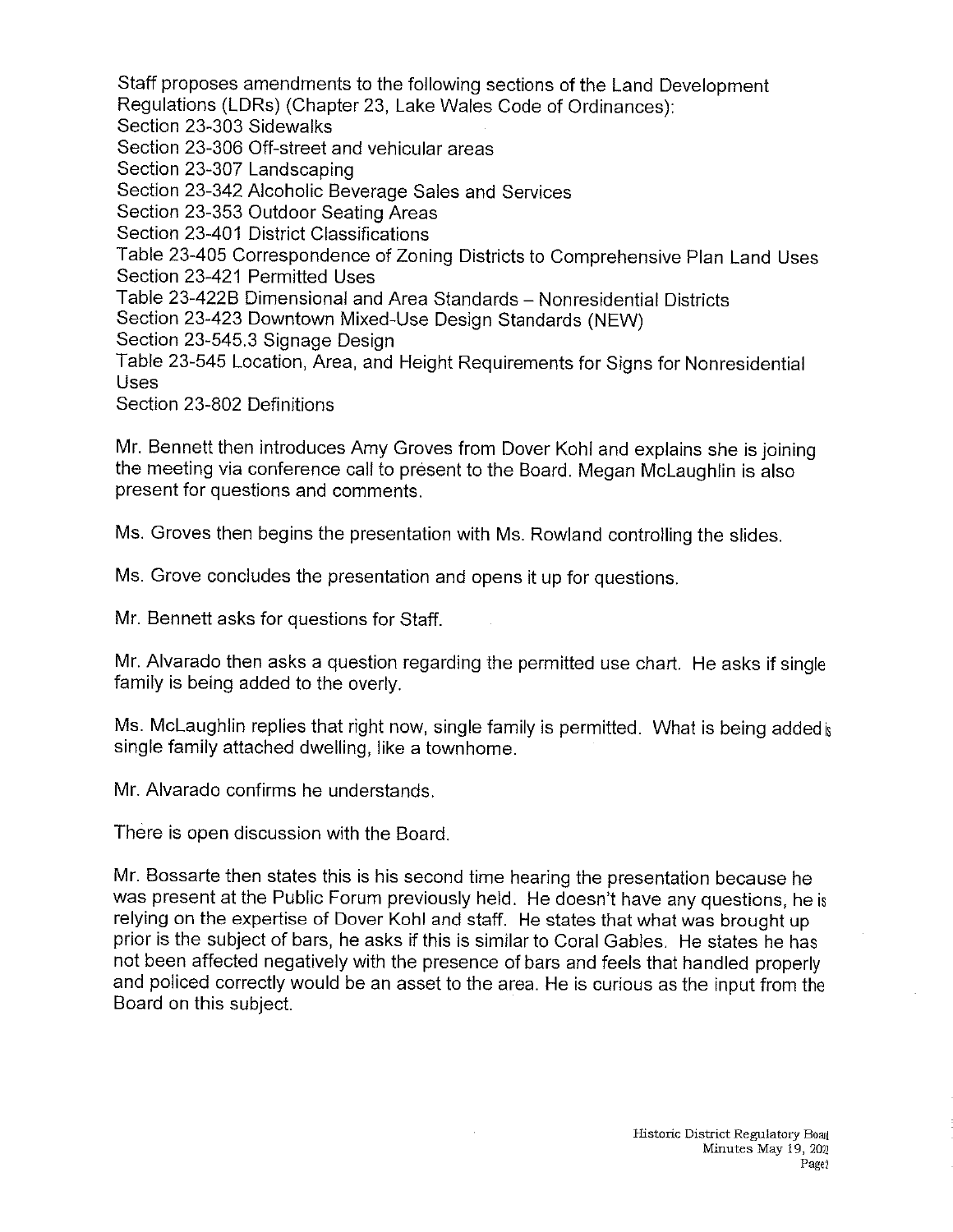Staff proposes amendments to the following sections of the Land Development Regulations (LDRs) (Chapter 23, Lake Waies Code of Ordinances); Section 23-303 Sidewalks Section 23-306 Off-street and vehicular areas Section 23-307 Landscaping Section 23-342 Alcoholic Beverage Sales and Services Section 23-353 Outdoor Seating Areas Section 23-401 District Classifications Table 23-405 Correspondence of Zoning Districts to Comprehensive Plan Land Uses Section 23-421 Permitted Uses Table 23-422B Dimensional and Area Standards - Nonresidential Districts Section 23-423 Downtown Mixed-Use Design Standards (NEW) Section 23-545.3 Signage Design Table 23-545 Location, Area, and Height Requirements for Signs for Nonresidential Uses

Section 23-802 Definitions

Mr. Bennett then introduces Amy Groves from Dover Kohl and explains she is joining the meeting via conference call to present to the Board. Megan McLaughlin is also present for questions and comments.

Ms. Groves then begins the presentation with Ms. Rowland controlling the slides.

Ms. Grove concludes the presentation and opens it up for questions.

Mr. Bennett asks for questions for Staff.

Mr. Alvarado then asks a question regarding the permitted use chart. He asks if single family is being added to the overly.

Ms. McLaughlin replies that right now, single family is permitted. What is being added is single family attached dwelling, like a townhome.

Mr. Alvarado confirms he understands.

There is open discussion with the Board.

Mr. Bossarte then states this is his second time hearing the presentation because he was present at the Public Forum previously held. He doesn't have any questions, he is relying on the expertise of Dover Kohl and staff. He states that what was brought up prior is the subject of bars, he asks if this is similar to Coral Gabies. He states he has not been affected negativeiy with the presence of bars and feels that handled properly and poilced correctly would be an asset to the area. He is curious as the input from the Board on this subject.

 $\sim$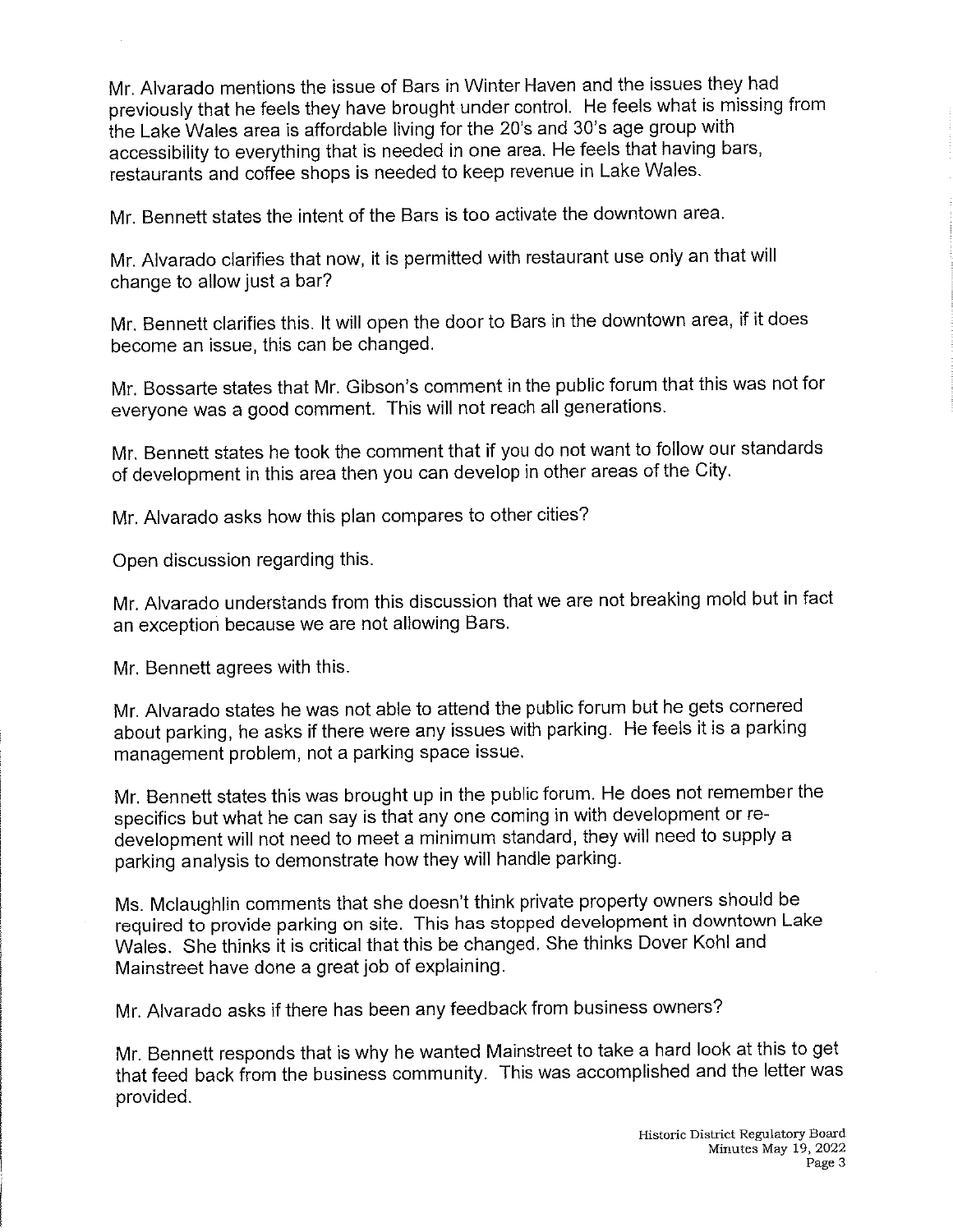Mr. Alvarado mentions the issue of Bars in Winter Haven and the issues they had previously that he feels they have brought under control. He feeis what is missing from the Lake Wales area is affordable living for the 20's and 30's age group with accessibility to everything that is needed in one area. He feels that having bars, restaurants and coffee shops is needed to keep revenue in Lake Wales.

Mr. Bennett states the intent of the Bars is too activate the downtown area.

Mr. Aivarado clarifies that now, it is permitted with restaurant use only an that will change to allow just a bar?

Mr. Bennett clarifies this. It will open the door to Bars in the downtown area, if it does become an issue, this can be changed.

Mr. Bossarte states that Mr. Gibson's comment in the public forum that this was not for everyone was a good comment. This will not reach all generations.

Mr. Bennett states he took the comment that if you do not want to follow our standards of development in this area then you can develop in other areas of the City.

Mr. Alvarado asks how this plan compares to other cities?

Open discussion regarding this.

Mr. Atvarado understands from this discussion that we are not breaking mold but in fact an exception because we are not allowing Bars.

Mr. Bennett agrees with this.

Mr. Alvarado states he was not able to attend the public forum but he gets cornered about parking, he asks if there were any issues with parking. He feels it is a parking management problem, not a parking space issue.

Mr. Bennett states this was brought up in the public forum. He does not remember the specifics but what he can say is that any one coming in with development or redevelopment will not need to meet a minimum standard, they will need to supply a parking analysis to demonstrate how they will handle parking.

Ms. Mclaughlin comments that she doesn't think private property owners should be required to provide parking on site. This has stopped development in downtown Lake Wales. She thinks it is critical that this be changed. She thinks Dover Kohl and Mainstreet have done a great job of explaining.

Mr. Alvarado asks if there has been any feedback from business owners?

Mr. Bennett responds that is why he wanted Mainstreet to take a hard look at this to get that feed back from the business community. This was accomplished and the letter was provided.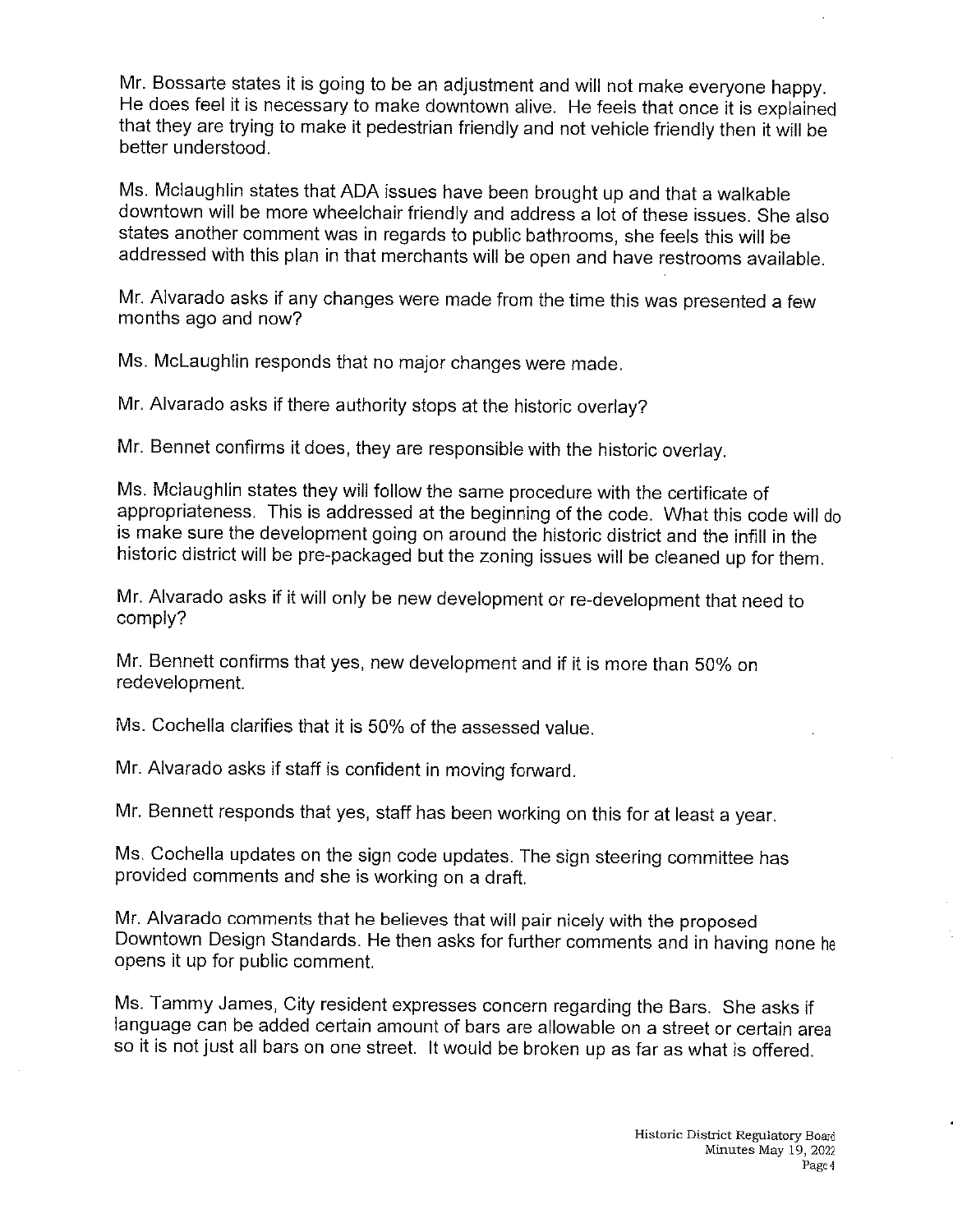Mr. Bossarte states it is going to be an adjustment and will not make everyone happy. He does feel it is necessary to make downtown alive. He feeis that once it is explained that they are trying to make it pedestrian friendiy and not vehicle friendly then it will be better understood.

Ms. Mciaughiin states that ADA issues have been brought up and that a walkable downtown wili be more wheeichair friendly and address a lot of these issues. She afso states another comment was in regards to public bathrooms, she feeis this will be addressed with this plan in that merchants will be open and have restrooms available.

Mr. Alvarado asks if any changes were made from the time this was presented a few months ago and now?

Ms. McLaughlin responds that no major changes were made.

Mr. Alvarado asks if there authority stops at the historic overlay?

Mr. Bennet confirms it does, they are responsible with the historic overlay.

Ms. Mclaughlin states they will follow the same procedure with the certificate of appropriateness. This is addressed at the beginning of the code. What this code will do is make sure the development going on around the historic district and the infiil in the historic district will be pre-packaged but the zoning issues will be cleaned up for them.

Mr. Alvarado asks if it will only be new development or re-deveiopment that need to comply?

Mr. Bennett confirms that yes, new development and if it is more than 50% on redevelopment.

Ms. Cochella clarifies that it is 50% of the assessed value.

Mr. Alvarado asks if staff is confident in moving forward.

Mr. Bennett responds that yes, staff has been working on this for at least a year.

Ms. Cochelia updates on the sign code updates. The sign steering committee has provided comments and she is working on a draft.

Mr. Alvarado comments that he believes that wiil pair nicely with the proposed Downtown Design Standards. He then asks for further comments and in having none he opens it up for public comment.

Ms. Tammy James, City resident expresses concern regarding the Bars. She asks if language can be added certain amount of bars are allowable on a street or certain area so it is not just all bars on one street. It would be broken up as far as what is offered.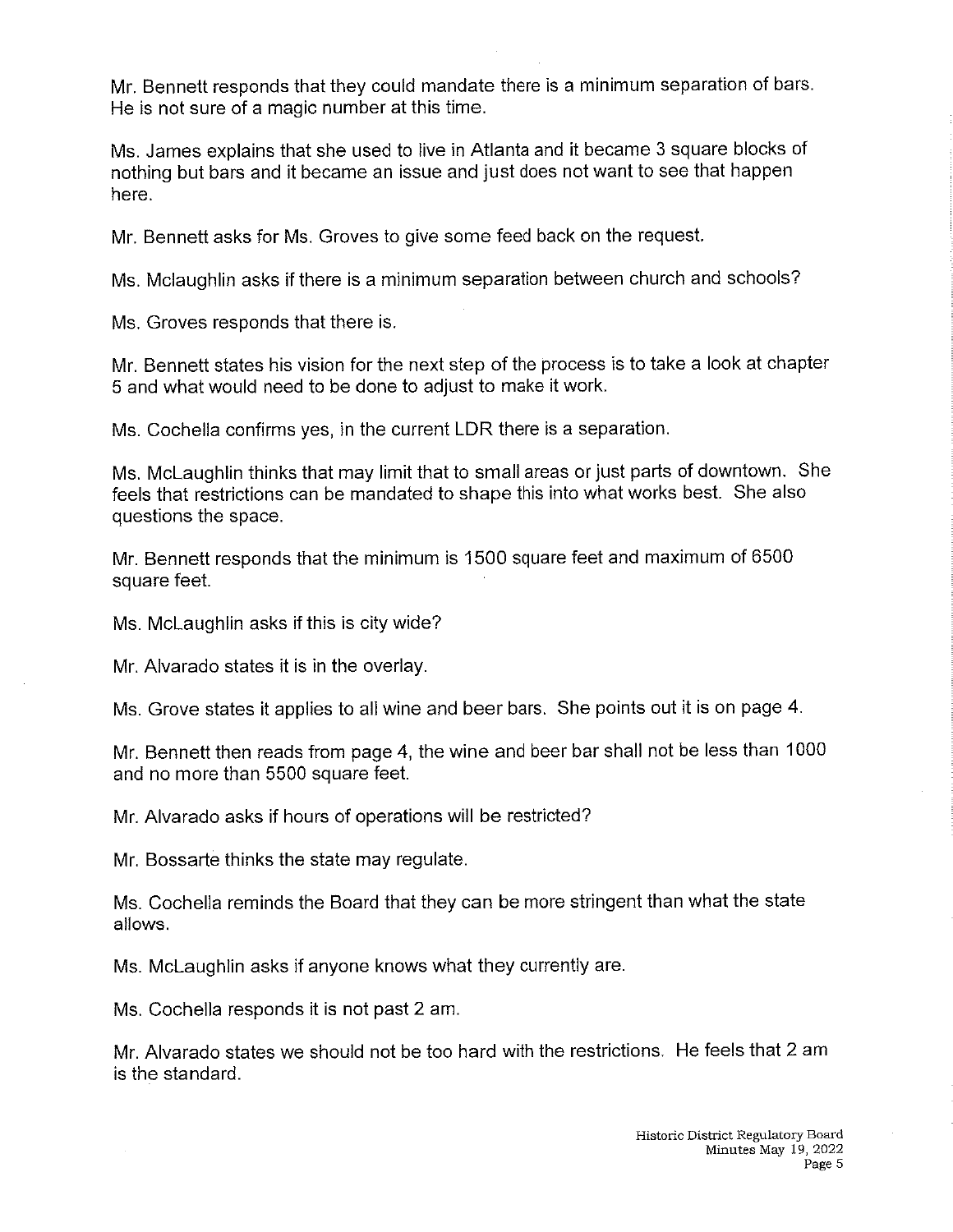Mr. Bennett responds that they could mandate there is a minimum separation of bars. He is not sure of a magic number at this time.

Ms. James explains that she used to live in Atlanta and it became 3 square blocks of nothing but bars and it became an issue and just does not want to see that happen here.

Mr. Bennett asks for Ms. Groves to give some feed back on the request.

Ms. Mciaughlin asks if there is a minimum separation between church and schools?

Ms. Groves responds that there is.

Mr. Bennett states his vision for the next step of the process is to take a look at chapter 5 and what would need to be done to adjust to make it work.

Ms. Cochella confirms yes, in the current LDR there is a separation.

Ms. McLaughiin thinks that may limit that to small areas or just parts of downtown. She feels that restrictions can be mandated to shape this into what works best. She also questions the space.

Mr. Bennett responds that the minimum is 1500 square feet and maximum of 6500 square feet.

Ms. McLaughlin asks if this is city wide?

Mr. Aivarado states it is in the overlay.

Ms. Grove states it applies to all wine and beer bars. She points out it is on page 4.

Mr. Bennett then reads from page 4, the wine and beer bar shall not be less than 1000 and no more than 5500 square feet.

Mr. Alvarado asks if hours of operations will be restricted?

Mr. Bossarte thinks the state may regulate.

Ms. Cochelia reminds the Board that they can be more stringent than what the state allows.

Ms. McLaughiin asks if anyone knows what they currently are.

Ms. Cocheila responds it is not past 2 am.

Mr. Alvarado states we should not be too hard with the restrictions. He feels that 2 am is the standard.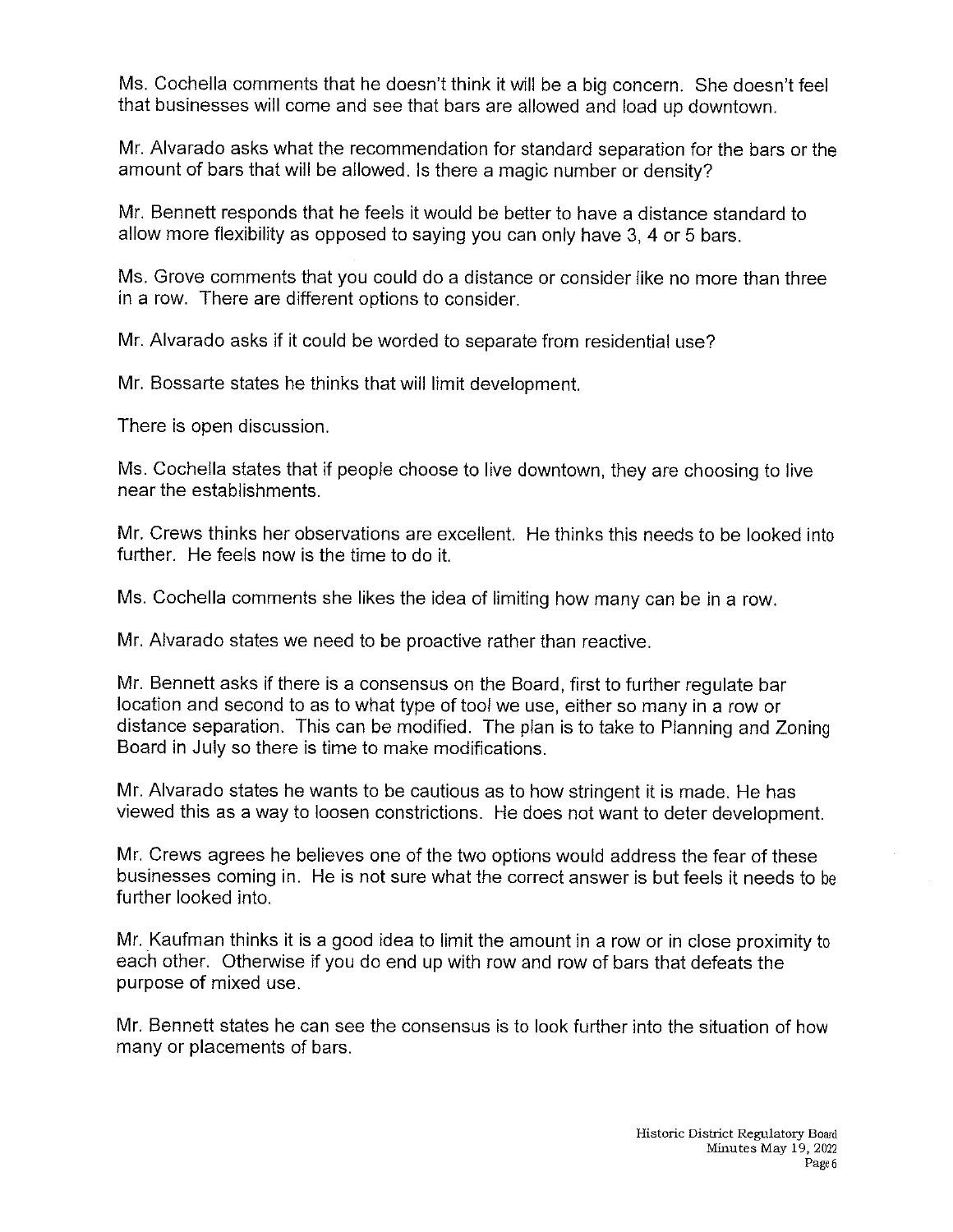Ms. Cochella comments that he doesn't think it will be a big concern. She doesn't feel that businesses will come and see that bars are allowed and load up downtown.

Mr. Alvarado asks what the recommendation for standard separation for the bars or the amount of bars that wiil be allowed, is there a magic number or density?

Mr. Bennett responds that he feels it would be better to have a distance standard to allow more flexibility as opposed to saying you can only have 3, 4 or 5 bars.

Ms. Grove comments that you could do a distance or consider like no more than three in a row. There are different options to consider.

Mr. Alvarado asks if it could be worded to separate from residential use?

Mr. Bossarte states he thinks that wiii limit development.

There is open discussion.

Ms. Cochella states that if people choose to live downtown, they are choosing to live near the establishments.

Mr. Crews thinks her observations are exceilent. He thinks this needs to be looked into further. He feels now is the time to do it.

Ms. Cochella comments she likes the idea of limiting how many can be in a row.

Mr. Alvarado states we need to be proactive rather than reactive.

Mr. Bennett asks if there is a consensus on the Board, first to further regulate bar location and second to as to what type of tool we use, either so many in a row or distance separation. This can be modified. The plan is to take to Planning and Zoning Board in Juiy so there is time to make modifications.

Mr. Alvarado states he wants to be cautious as to how stringent it is made. He has viewed this as a way to loosen constrictions. He does not want to deter development.

Mr. Crews agrees he believes one of the two options would address the fear of these businesses coming in. He is not sure what the correct answer is but feels it needs to be further looked into.

Mr. Kaufman thinks it is a good idea to limit the amount in a row or in close proximity to each other. Otherwise if you do end up with row and row of bars that defeats the purpose of mixed use.

Mr. Bennett states he can see the consensus is to look further into the situation of hew many or placements of bars.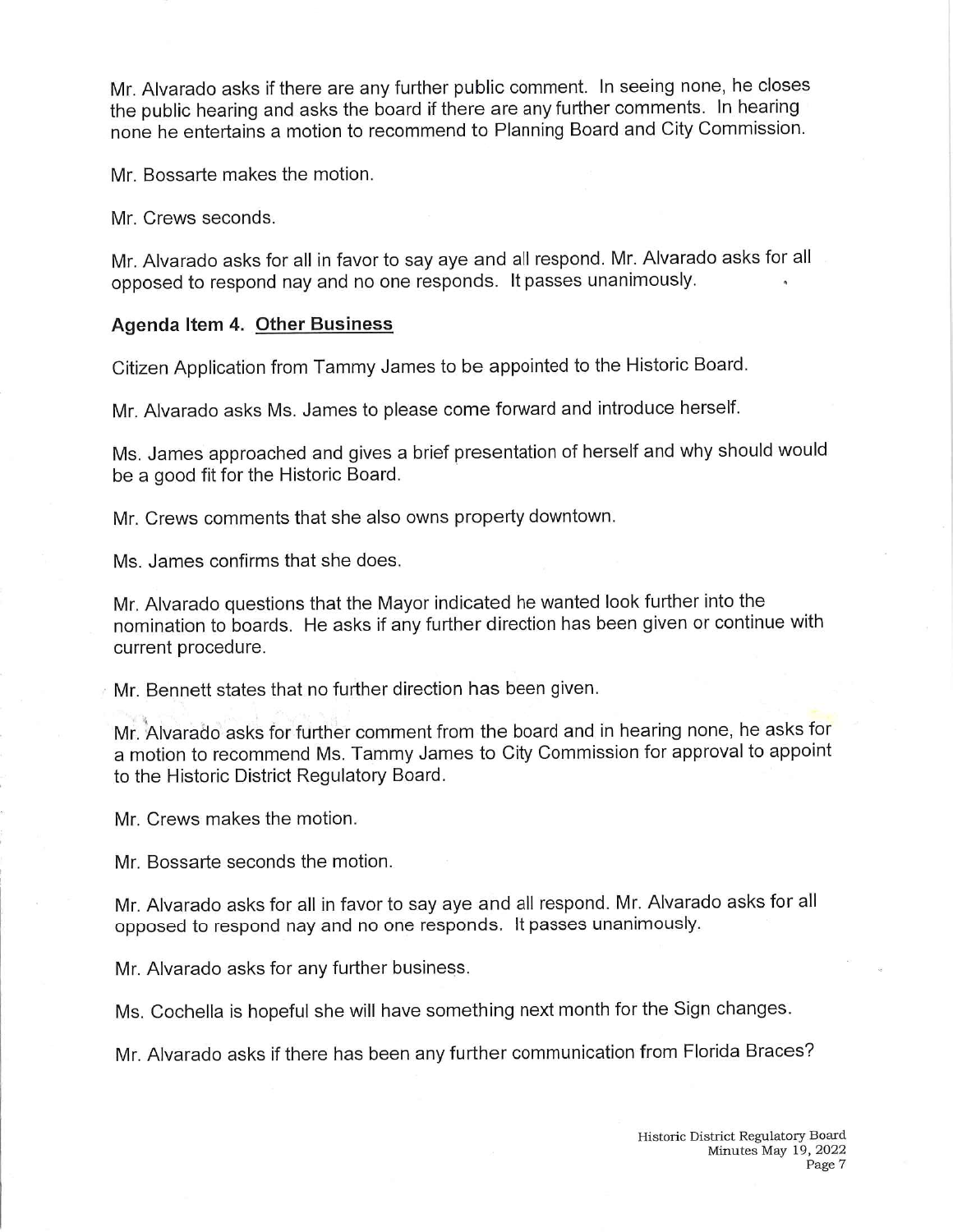Mr. Alvarado asks if there are any further public comment. In seeing none, he closes the public hearing and asks the board if there are any further comments. In hearing none he entertains a motion to recommend to Planning Board and City Commission.

Mr. Bossarte makes the motion.

Mr. Crews seconds.

Mr. Alvarado asks for all in favor to say aye and all respond. Mr. Alvarado asks for all opposed to respond nay and no one responds. It passes unanimously.

### Agenda Item 4. Other Business

Citizen Application from Tammy James to be appointed to the Historic Board.

Mr. Alvarado asks Ms. James to please come forward and introduce herself.

Ms. James approached and gives a brief presentation of herself and why should would be a good fit for the Historic Board.

Mr. Crews comments that she also owns property downtown.

Ms. James confirms that she does.

Mr. AIvarado questions that the Mayor indicated he wanted look further into the nomination to boards. He asks if any further direction has been given or continue with current procedure.

Mr. Bennett states that no further direction has been given,

Mr. Alvarado asks for further comment from the board and in hearing none, he asks for a motion to recommend Ms. Tammy James to City Commission for approval to appoint to the Historic District Regulatory Board.

Mr. Crews makes the motion.

Mr. Bossarte seconds the motion.

Mr. Alvarado asks for all in favor to say aye and all respond. Mr. Alvarado asks for all opposed to respond nay and no one responds. It passes unanimously.

Mr. Alvarado asks for any further business.

Ms. Cochella is hopeful she will have something next month for the Sign changes.

Mr. Alvarado asks if there has been any further communication from Florida Braces?